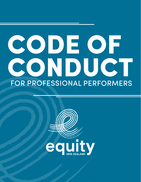# FOR PROFESSIONAL PERFORMERS **CODE OF CONDUCT**

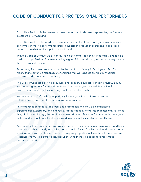# **CODE OF CONDUCT** FOR PROFESSIONAL PERFORMERS

Equity New Zealand is the professional association and trade union representing performers in Aotearoa New Zealand.

Equity New Zealand, its board and members, is committed to promoting safe workspaces for performers in the live performance area, in the screen production sector and in all areas of performance whether this is paid or unpaid work.

With this Code of Conduct we are encouraging performers to behave responsibly and to be a credit to our profession. This entails acting in good faith and showing respect for every person that they work alongside.

Performers, like all workers, are bound by the Health and Safety in Employment Act. This means that everyone is responsible for ensuring that work spaces are free from sexual harassment, discrimination or bullying.

The Code of Conduct is a living document and, as such, is subject to ongoing review. Equity welcomes suggestions for amendments - and acknowledges the need for continual examination of our industries' working practices and standards.

We believe that this Code is an opportunity for everyone to work towards a more collaborative, communicative and empowering workplace.

Performance is an art form. The work and process can and should be challenging, experimental, exploratory, and innovative. Artistic freedom of expression is essential. For these things to happen, though, the creative space must be a safe space. This means that everyone feels confident that they will not be exposed to emotional, cultural or physical harm.

And because the ways in which we work are broad – encompassing administration, auditions, rehearsals, technical work, late nights, parties, public-facing frontline work and in some cases working away from our home bases – and a great proportion of the arts sector workers are freelance, we must be extra vigilant about ensuring there is no space for problematic behaviour to exist.

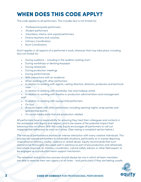# **WHEN DOES THIS CODE APPLY?**

This code applies to all performers. This includes (but is not limited to):

- Professional (paid) performers
- Student performers
- Volunteers, interns, and unpaid performers
- Drama teachers and coaches
- Intimacy Coordinators
- **Stunt Coordinators**

And it applies in all aspects of a performer's work, wherever that may take place, including (but not limited to):

- During auditions including in the audition waiting room
- During workshops or devising kaupapa
- During rehearsals
- During production meetings
- During performances
- With interactions with an audience
- When working with other performers
- In relation to working with agents, casting directors, directors, producers and technical crew
- In relation to working with wardrobe, hair and makeup artists
- In relation to working with theatre or production administration and management staff
- In relation to working with young/child performers
- On tour
- At social events with other performers, including opening nights, wrap parties and sponsorship events
- On social media posts that are production-related

All performers have a responsibility for ensuring they treat their colleagues and contacts in the workplace with dignity and respect, and to be aware of the potential impact their behaviour has on others. With this code, Equity encourages all performers to call out inappropriate behaviour as soon as it arises. (See raising a complaint section below.)

The nature of performance involves an intense interaction with many creative individuals. This process can expose performers to vulnerable situations, particularly so in scenes depicting close physical intimacy, nudity, violence or verbal abuse. Equity recommends that such scenarios be thoroughly discussed well in advance as part of pre production and rehearsals, and where required, an intimacy coordinator, cultural safety advisor or other field expert, to be engaged as a production/team support mechanism.

The rehearsal and production process should always be one in which all team members are able to exercise their own agency at all times - and particularly if they are feeling unsafe.

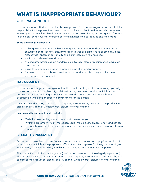# **WHAT IS INAPPROPRIATE BEHAVIOUR?**

## **GENERAL CONDUCT**

Harassment of any kind is about the abuse of power. Equity encourages performers to take responsibility for the power they have in the workplace, and not use it abusively over others who may be more vulnerable than themselves. In particular, Equity encourages performers to avoid any behaviour that marginalises or diminishes their colleagues and their mana.

#### Some general guidelines are:

- Colleagues should not be subject to negative commentary and/or stereotypes on: sexuality, gender identity, age, physical attributes or abilities, race or ethnicity, class, size, attractiveness, or personality characteristics, clothing or sexiness.
- Avoid being dismissive and rude.
- Making assumptions about gender, sexuality, race, class or religion of colleagues is disrespectful.
- Strive to use people's proper names, pronunciation and pronouns.
- Shaming or public outbursts are threatening and have absolutely no place in a performance environment.

### **HARASSMENT**

Harassment on the grounds of gender identity, marital status, family status, race, age, religion, size, sexual orientation or disability is defined as any unwanted conduct which has the purpose or effect of violating a person's dignity and creating an intimidating, hostile, degrading, humiliating or offensive environment for the person.

Unwanted conduct may consist of acts, requests, spoken words, gestures or the production, display or circulation of written words, pictures or other material.

#### Examples of harassment might include:

- Verbal harassment jokes, comments, ridicule or songs
- Written harassment texts, messages, social media posts, emails, letters and notices
- Physical harassment unnecessary touching, non-consensual touching or any form of assault

## **SEXUAL HARASSMENT**

Sexual harassment is any form of non-consensual verbal, nonverbal or physical conduct of a sexual nature which has the purpose or effect of violating a person's dignity and creating an intimidating, hostile, degrading, humiliating or offensive environment for the person.

This conduct is not limited by the gender(s) of the complainant and the alleged perpetrator(s). The non-consensual conduct may consist of acts, requests, spoken words, gestures, physical contact or the production, display or circulation of written words, pictures or other material.

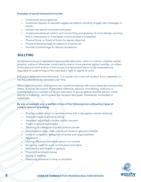#### Examples of sexual harassment include:

- Unwelcome sexual gestures
- Unwanted displays of sexually suggestive objects including images, text messages or emails
- Unwelcome sexual comments and jokes
- Unwelcome physical contact such as pinching and groping. Or more benign touching that is unnecessary or it has been communicated is unwanted.
- Physical force, or threat of force, for sexual objective
- Threat of disadvantage for rejection of advances
- Promise of advantage for sexual concessions

## **BULLYING**

Workplace bullying is repeated inappropriate behaviour, direct or indirect, whether verbal, physical, online or otherwise, conducted by one or more persons against another, or others, at the place of work and/or in the course of employment which could reasonably be regarded as undermining of the individual's right to dignity at work.

Bullying is deliberate and intentional. It is usually not a one-off incident, but is repeated, or has the potential to be repeated over time.

Many types of conduct and actions can constitute bullying with some being less obvious than others. Bullying can consist of persistent offensive, abusive, intimidating, malicious or insulting behaviour carried out by any individual or group against another person, either directly or indirectly, which makes the recipient feel upset, threatened, humiliated or vulnerable.

#### By way of example only, a pattern of any of the following (non-exhaustive) types of conduct amount to bullying:

- Sharing content about co-workers online that is derogatory and/or shaming
- Personal insults and name calling
- Persistent unjustified criticism and/or sarcasm
- Public or private humiliation
- Shouting at colleagues in public and/or private
- Instantaneous rage, often over trivial issues or genuine mistakes
- Unfair or unrealistic delegation of duties and responsibilities
- **Aggression**
- Making offensive comments about a co-worker
- Not giving credit for work contributions and ideas
- Intimidation and threats in general
- Physical & emotional abuse
- Spying or stalking
- Pressuring someone to drop a complaint

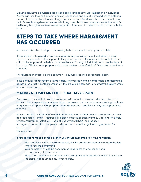Bullying can have a physiological, psychological and behavioural impact on an individual. Victims can lose their self-esteem and self-confidence and are at increased risk of suffering stress-related conditions that can trigger further trauma. Apart from the direct impact on a victim's health, long-term exposure to bullying may also have consequences for the victim's livelihood, through absenteeism and resignation from work in order to avoid contact with the bully.

# **STEPS TO TAKE WHERE HARASSMENT HAS OCCURRED**

Anyone who is asked to stop any harassing behaviour should comply immediately.

If you are being harassed, or witness inappropriate behaviour, speak out about it. Seek support for yourself or offer support to the person harmed. If you feel comfortable to do so, call out the inappropriate behaviour immediately. You might find it helpful to use this type of language: "That is not appropriate – it makes me feel uncomfortable". Or you can raise it at a later time.

The "bystander effect'' is all too common - a culture of silence perpetuates harm.

If the behaviour is not rectified immediately, or if you do not feel comfortable addressing the perpetrator directly, contact someone in the production company or contact the Equity office as soon as you can.

## MAKING A COMPLAINT OF SEXUAL HARASSMENT

Every workplace should have policies to deal with sexual harassment, discrimination and bullying. If you experience or witness sexual harassment in any performance setting you have a right to speak up and, if appropriate, to make a formal complaint. Equity can support you with this.

Who you report an incident of sexual harassment to may differ on each production. It could be a dedicated Human Resource(HR) person, stage manager, Intimacy Coordinator, Safety Officer, Assistant Director(AD), Head of Department (HOD), or producer.

Arrange a time to talk to that person privately. You have the right to bring a person for support if

you need one.

#### If you decide to make a complaint then you should expect the following to happen:

- The complaint should be taken seriously by the production company or organisation where you are performing.
- Your complaint should be documented regardless of whether or not a formal investigation is conducted.
- There is an obligation on the production company or organisation to discuss with you the steps to be taken to ensure your safety.